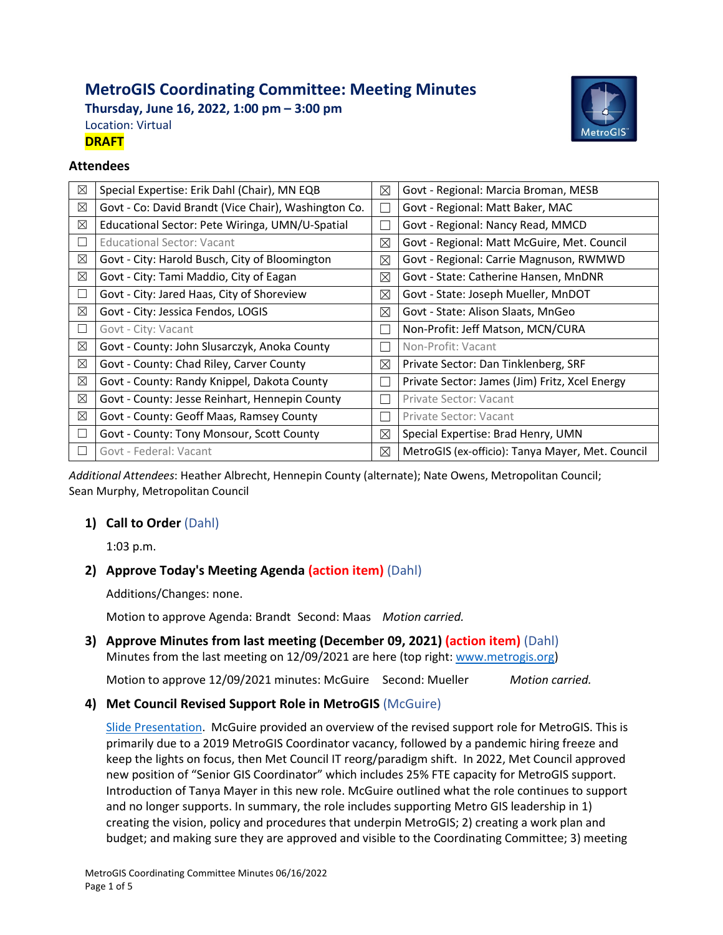# **MetroGIS Coordinating Committee: Meeting Minutes**

**Thursday, June 16, 2022, 1:00 pm – 3:00 pm** Location: Virtual **DRAFT**



### **Attendees**

| $\boxtimes$ | Special Expertise: Erik Dahl (Chair), MN EQB         | ⊠           | Govt - Regional: Marcia Broman, MESB             |
|-------------|------------------------------------------------------|-------------|--------------------------------------------------|
| $\boxtimes$ | Govt - Co: David Brandt (Vice Chair), Washington Co. |             | Govt - Regional: Matt Baker, MAC                 |
| $\boxtimes$ | Educational Sector: Pete Wiringa, UMN/U-Spatial      |             | Govt - Regional: Nancy Read, MMCD                |
| $\Box$      | <b>Educational Sector: Vacant</b>                    | ⊠           | Govt - Regional: Matt McGuire, Met. Council      |
| $\boxtimes$ | Govt - City: Harold Busch, City of Bloomington       | ⊠           | Govt - Regional: Carrie Magnuson, RWMWD          |
| ⊠           | Govt - City: Tami Maddio, City of Eagan              | ⊠           | Govt - State: Catherine Hansen, MnDNR            |
| $\Box$      | Govt - City: Jared Haas, City of Shoreview           | ⊠           | Govt - State: Joseph Mueller, MnDOT              |
| $\boxtimes$ | Govt - City: Jessica Fendos, LOGIS                   | ⊠           | Govt - State: Alison Slaats, MnGeo               |
| $\Box$      | Govt - City: Vacant                                  |             | Non-Profit: Jeff Matson, MCN/CURA                |
| $\boxtimes$ | Govt - County: John Slusarczyk, Anoka County         | $\Box$      | Non-Profit: Vacant                               |
| $\boxtimes$ | Govt - County: Chad Riley, Carver County             | ⊠           | Private Sector: Dan Tinklenberg, SRF             |
| $\boxtimes$ | Govt - County: Randy Knippel, Dakota County          |             | Private Sector: James (Jim) Fritz, Xcel Energy   |
| $\boxtimes$ | Govt - County: Jesse Reinhart, Hennepin County       | ×.          | Private Sector: Vacant                           |
| $\boxtimes$ | Govt - County: Geoff Maas, Ramsey County             |             | Private Sector: Vacant                           |
| $\Box$      | Govt - County: Tony Monsour, Scott County            | ⊠           | Special Expertise: Brad Henry, UMN               |
| П           | Govt - Federal: Vacant                               | $\boxtimes$ | MetroGIS (ex-officio): Tanya Mayer, Met. Council |

*Additional Attendees*: Heather Albrecht, Hennepin County (alternate); Nate Owens, Metropolitan Council; Sean Murphy, Metropolitan Council

## **1) Call to Order** (Dahl)

1:03 p.m.

## **2) Approve Today's Meeting Agenda (action item)** (Dahl)

Additions/Changes: none.

Motion to approve Agenda: Brandt Second: Maas *Motion carried.*

## **3) Approve Minutes from last meeting (December 09, 2021) (action item)** (Dahl) Minutes from the last meeting on 12/09/2021 are here (top right: [www.metrogis.org\)](http://www.metrogis.org/)

Motion to approve 12/09/2021 minutes: McGuire Second: Mueller *Motion carried.*

## **4) Met Council Revised Support Role in MetroGIS** (McGuire)

[Slide Presentation.](https://metrogis.org/getmedia/9212427b-c254-41a1-be60-c4610bdb9899/Met_Council_Revised_Support.pdf.aspx) McGuire provided an overview of the revised support role for MetroGIS. This is primarily due to a 2019 MetroGIS Coordinator vacancy, followed by a pandemic hiring freeze and keep the lights on focus, then Met Council IT reorg/paradigm shift. In 2022, Met Council approved new position of "Senior GIS Coordinator" which includes 25% FTE capacity for MetroGIS support. Introduction of Tanya Mayer in this new role. McGuire outlined what the role continues to support and no longer supports. In summary, the role includes supporting Metro GIS leadership in 1) creating the vision, policy and procedures that underpin MetroGIS; 2) creating a work plan and budget; and making sure they are approved and visible to the Coordinating Committee; 3) meeting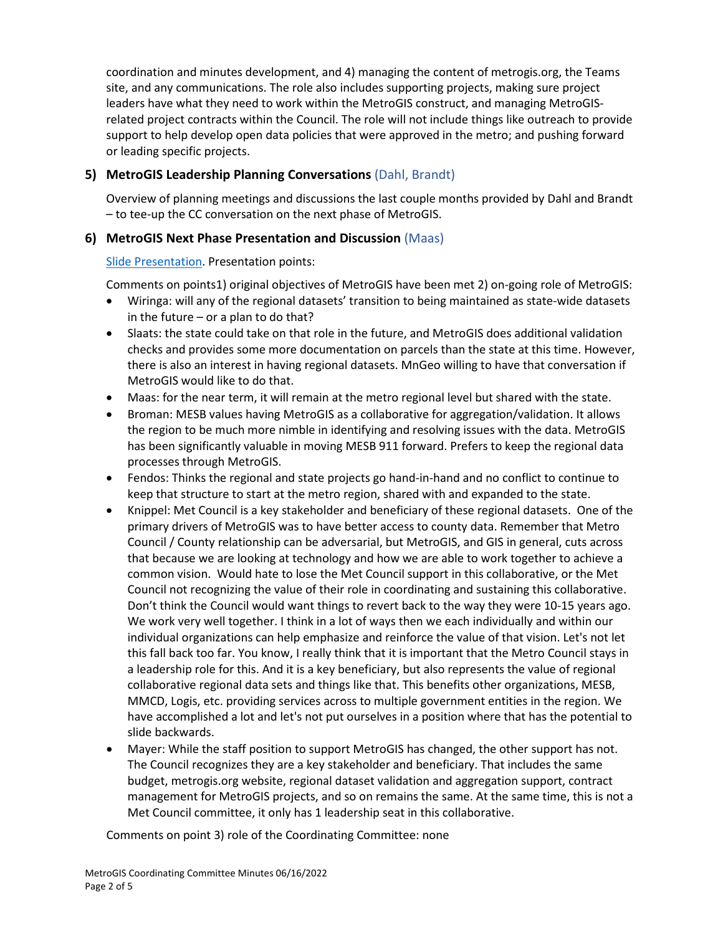coordination and minutes development, and 4) managing the content of metrogis.org, the Teams site, and any communications. The role also includes supporting projects, making sure project leaders have what they need to work within the MetroGIS construct, and managing MetroGISrelated project contracts within the Council. The role will not include things like outreach to provide support to help develop open data policies that were approved in the metro; and pushing forward or leading specific projects.

# **5) MetroGIS Leadership Planning Conversations** (Dahl, Brandt)

Overview of planning meetings and discussions the last couple months provided by Dahl and Brandt – to tee-up the CC conversation on the next phase of MetroGIS.

## **6) MetroGIS Next Phase Presentation and Discussion** (Maas)

## [Slide Presentation.](https://metrogis.org/getmedia/fde0a745-cc6c-4e8c-a0f9-79eae4b86eb0/MetroGIS_Recalibration.pdf.aspx) Presentation points:

Comments on points1) original objectives of MetroGIS have been met 2) on-going role of MetroGIS:

- Wiringa: will any of the regional datasets' transition to being maintained as state-wide datasets in the future – or a plan to do that?
- Slaats: the state could take on that role in the future, and MetroGIS does additional validation checks and provides some more documentation on parcels than the state at this time. However, there is also an interest in having regional datasets. MnGeo willing to have that conversation if MetroGIS would like to do that.
- Maas: for the near term, it will remain at the metro regional level but shared with the state.
- Broman: MESB values having MetroGIS as a collaborative for aggregation/validation. It allows the region to be much more nimble in identifying and resolving issues with the data. MetroGIS has been significantly valuable in moving MESB 911 forward. Prefers to keep the regional data processes through MetroGIS.
- Fendos: Thinks the regional and state projects go hand-in-hand and no conflict to continue to keep that structure to start at the metro region, shared with and expanded to the state.
- Knippel: Met Council is a key stakeholder and beneficiary of these regional datasets. One of the primary drivers of MetroGIS was to have better access to county data. Remember that Metro Council / County relationship can be adversarial, but MetroGIS, and GIS in general, cuts across that because we are looking at technology and how we are able to work together to achieve a common vision. Would hate to lose the Met Council support in this collaborative, or the Met Council not recognizing the value of their role in coordinating and sustaining this collaborative. Don't think the Council would want things to revert back to the way they were 10-15 years ago. We work very well together. I think in a lot of ways then we each individually and within our individual organizations can help emphasize and reinforce the value of that vision. Let's not let this fall back too far. You know, I really think that it is important that the Metro Council stays in a leadership role for this. And it is a key beneficiary, but also represents the value of regional collaborative regional data sets and things like that. This benefits other organizations, MESB, MMCD, Logis, etc. providing services across to multiple government entities in the region. We have accomplished a lot and let's not put ourselves in a position where that has the potential to slide backwards.
- Mayer: While the staff position to support MetroGIS has changed, the other support has not. The Council recognizes they are a key stakeholder and beneficiary. That includes the same budget, metrogis.org website, regional dataset validation and aggregation support, contract management for MetroGIS projects, and so on remains the same. At the same time, this is not a Met Council committee, it only has 1 leadership seat in this collaborative.

Comments on point 3) role of the Coordinating Committee: none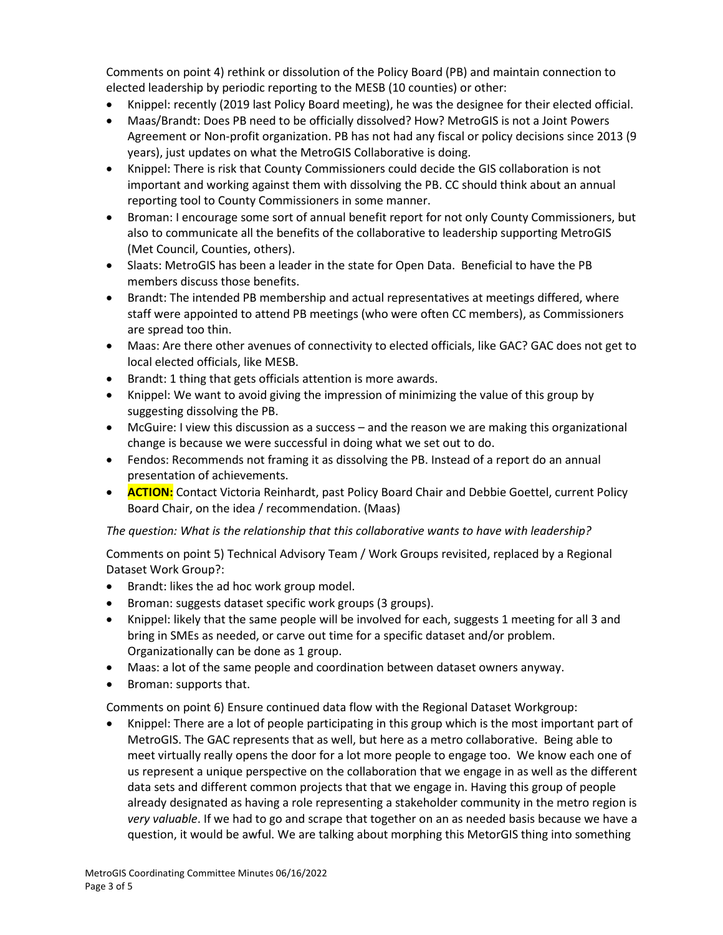Comments on point 4) rethink or dissolution of the Policy Board (PB) and maintain connection to elected leadership by periodic reporting to the MESB (10 counties) or other:

- Knippel: recently (2019 last Policy Board meeting), he was the designee for their elected official.
- Maas/Brandt: Does PB need to be officially dissolved? How? MetroGIS is not a Joint Powers Agreement or Non-profit organization. PB has not had any fiscal or policy decisions since 2013 (9 years), just updates on what the MetroGIS Collaborative is doing.
- Knippel: There is risk that County Commissioners could decide the GIS collaboration is not important and working against them with dissolving the PB. CC should think about an annual reporting tool to County Commissioners in some manner.
- Broman: I encourage some sort of annual benefit report for not only County Commissioners, but also to communicate all the benefits of the collaborative to leadership supporting MetroGIS (Met Council, Counties, others).
- Slaats: MetroGIS has been a leader in the state for Open Data. Beneficial to have the PB members discuss those benefits.
- Brandt: The intended PB membership and actual representatives at meetings differed, where staff were appointed to attend PB meetings (who were often CC members), as Commissioners are spread too thin.
- Maas: Are there other avenues of connectivity to elected officials, like GAC? GAC does not get to local elected officials, like MESB.
- Brandt: 1 thing that gets officials attention is more awards.
- Knippel: We want to avoid giving the impression of minimizing the value of this group by suggesting dissolving the PB.
- McGuire: I view this discussion as a success and the reason we are making this organizational change is because we were successful in doing what we set out to do.
- Fendos: Recommends not framing it as dissolving the PB. Instead of a report do an annual presentation of achievements.
- **ACTION:** Contact Victoria Reinhardt, past Policy Board Chair and Debbie Goettel, current Policy Board Chair, on the idea / recommendation. (Maas)

*The question: What is the relationship that this collaborative wants to have with leadership?*

Comments on point 5) Technical Advisory Team / Work Groups revisited, replaced by a Regional Dataset Work Group?:

- Brandt: likes the ad hoc work group model.
- Broman: suggests dataset specific work groups (3 groups).
- Knippel: likely that the same people will be involved for each, suggests 1 meeting for all 3 and bring in SMEs as needed, or carve out time for a specific dataset and/or problem. Organizationally can be done as 1 group.
- Maas: a lot of the same people and coordination between dataset owners anyway.
- Broman: supports that.

Comments on point 6) Ensure continued data flow with the Regional Dataset Workgroup:

• Knippel: There are a lot of people participating in this group which is the most important part of MetroGIS. The GAC represents that as well, but here as a metro collaborative. Being able to meet virtually really opens the door for a lot more people to engage too. We know each one of us represent a unique perspective on the collaboration that we engage in as well as the different data sets and different common projects that that we engage in. Having this group of people already designated as having a role representing a stakeholder community in the metro region is *very valuable*. If we had to go and scrape that together on an as needed basis because we have a question, it would be awful. We are talking about morphing this MetorGIS thing into something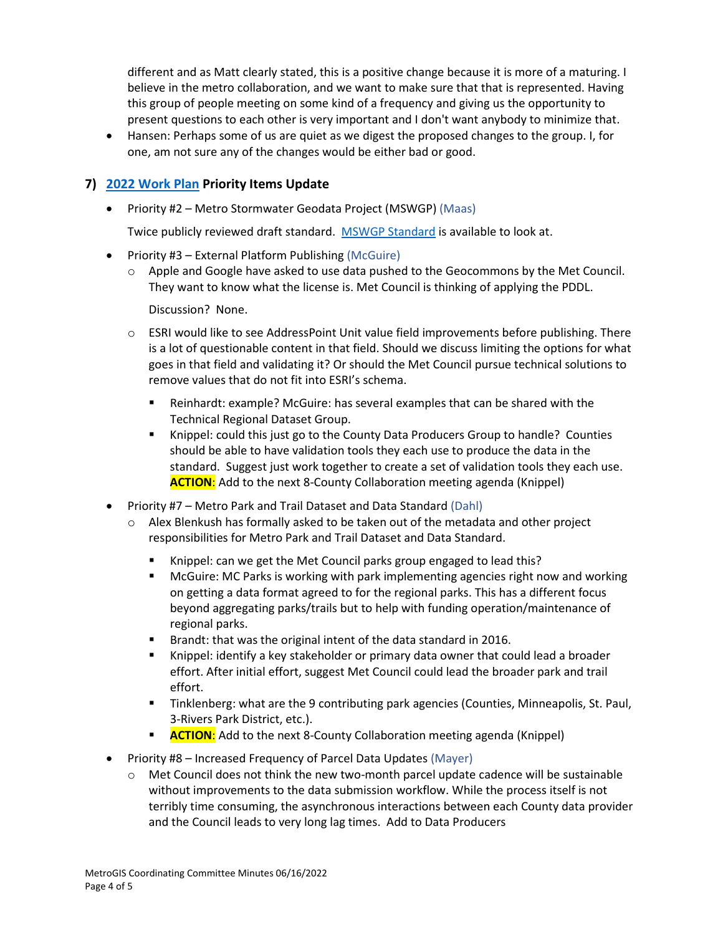different and as Matt clearly stated, this is a positive change because it is more of a maturing. I believe in the metro collaboration, and we want to make sure that that is represented. Having this group of people meeting on some kind of a frequency and giving us the opportunity to present questions to each other is very important and I don't want anybody to minimize that.

• Hansen: Perhaps some of us are quiet as we digest the proposed changes to the group. I, for one, am not sure any of the changes would be either bad or good.

## **7) [2022 Work Plan](https://www.metrogis.org/projects/work-plan-budget.aspx) Priority Items Update**

• Priority #2 – Metro Stormwater Geodata Project (MSWGP) (Maas)

Twice publicly reviewed draft standard. [MSWGP Standard](https://metrogis.org/projects/stormsewers.aspx) is available to look at.

- Priority #3 External Platform Publishing (McGuire)
	- o Apple and Google have asked to use data pushed to the Geocommons by the Met Council. They want to know what the license is. Met Council is thinking of applying the PDDL.

Discussion? None.

- $\circ$  ESRI would like to see AddressPoint Unit value field improvements before publishing. There is a lot of questionable content in that field. Should we discuss limiting the options for what goes in that field and validating it? Or should the Met Council pursue technical solutions to remove values that do not fit into ESRI's schema.
	- Reinhardt: example? McGuire: has several examples that can be shared with the Technical Regional Dataset Group.
	- Knippel: could this just go to the County Data Producers Group to handle? Counties should be able to have validation tools they each use to produce the data in the standard. Suggest just work together to create a set of validation tools they each use. **ACTION**: Add to the next 8-County Collaboration meeting agenda (Knippel)
- Priority #7 Metro Park and Trail Dataset and Data Standard (Dahl)
	- $\circ$  Alex Blenkush has formally asked to be taken out of the metadata and other project responsibilities for Metro Park and Trail Dataset and Data Standard.
		- Knippel: can we get the Met Council parks group engaged to lead this?
		- McGuire: MC Parks is working with park implementing agencies right now and working on getting a data format agreed to for the regional parks. This has a different focus beyond aggregating parks/trails but to help with funding operation/maintenance of regional parks.
		- Brandt: that was the original intent of the data standard in 2016.
		- Knippel: identify a key stakeholder or primary data owner that could lead a broader effort. After initial effort, suggest Met Council could lead the broader park and trail effort.
		- Tinklenberg: what are the 9 contributing park agencies (Counties, Minneapolis, St. Paul, 3-Rivers Park District, etc.).
		- **ACTION:** Add to the next 8-County Collaboration meeting agenda (Knippel)
- Priority #8 Increased Frequency of Parcel Data Updates (Mayer)
	- $\circ$  Met Council does not think the new two-month parcel update cadence will be sustainable without improvements to the data submission workflow. While the process itself is not terribly time consuming, the asynchronous interactions between each County data provider and the Council leads to very long lag times. Add to Data Producers